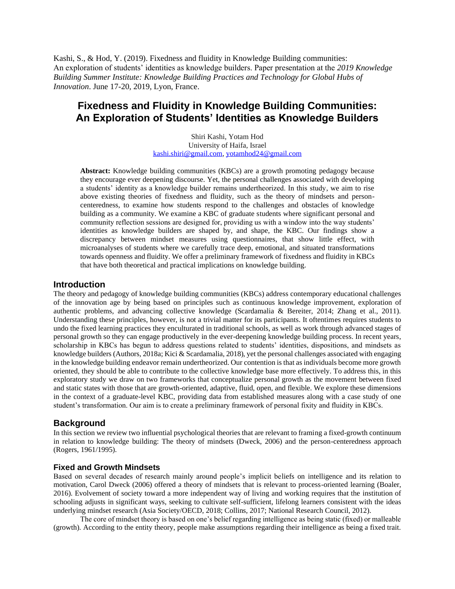Kashi, S., & Hod, Y. (2019). Fixedness and fluidity in Knowledge Building communities: An exploration of students' identities as knowledge builders. Paper presentation at the *2019 Knowledge Building Summer Institute: Knowledge Building Practices and Technology for Global Hubs of Innovation*. June 17-20, 2019, Lyon, France.

# **Fixedness and Fluidity in Knowledge Building Communities: An Exploration of Students' Identities as Knowledge Builders**

Shiri Kashi, Yotam Hod University of Haifa, Israel [kashi.shiri@gmail.com,](mailto:kashi.shiri@gmail.com) [yotamhod24@gmail.com](mailto:yotamhod24@gmail.com)

**Abstract:** Knowledge building communities (KBCs) are a growth promoting pedagogy because they encourage ever deepening discourse. Yet, the personal challenges associated with developing a students' identity as a knowledge builder remains undertheorized. In this study, we aim to rise above existing theories of fixedness and fluidity, such as the theory of mindsets and personcenteredness, to examine how students respond to the challenges and obstacles of knowledge building as a community. We examine a KBC of graduate students where significant personal and community reflection sessions are designed for, providing us with a window into the way students' identities as knowledge builders are shaped by, and shape, the KBC. Our findings show a discrepancy between mindset measures using questionnaires, that show little effect, with microanalyses of students where we carefully trace deep, emotional, and situated transformations towards openness and fluidity. We offer a preliminary framework of fixedness and fluidity in KBCs that have both theoretical and practical implications on knowledge building.

#### **Introduction**

The theory and pedagogy of knowledge building communities (KBCs) address contemporary educational challenges of the innovation age by being based on principles such as continuous knowledge improvement, exploration of authentic problems, and advancing collective knowledge (Scardamalia & Bereiter, 2014; Zhang et al., 2011). Understanding these principles, however, is not a trivial matter for its participants. It oftentimes requires students to undo the fixed learning practices they enculturated in traditional schools, as well as work through advanced stages of personal growth so they can engage productively in the ever-deepening knowledge building process. In recent years, scholarship in KBCs has begun to address questions related to students' identities, dispositions, and mindsets as knowledge builders (Authors, 2018a; Kici & Scardamalia, 2018), yet the personal challenges associated with engaging in the knowledge building endeavor remain undertheorized. Our contention is that as individuals become more growth oriented, they should be able to contribute to the collective knowledge base more effectively. To address this, in this exploratory study we draw on two frameworks that conceptualize personal growth as the movement between fixed and static states with those that are growth-oriented, adaptive, fluid, open, and flexible. We explore these dimensions in the context of a graduate-level KBC, providing data from established measures along with a case study of one student's transformation. Our aim is to create a preliminary framework of personal fixity and fluidity in KBCs.

### **Background**

In this section we review two influential psychological theories that are relevant to framing a fixed-growth continuum in relation to knowledge building: The theory of mindsets (Dweck, 2006) and the person-centeredness approach (Rogers, 1961/1995).

#### **Fixed and Growth Mindsets**

Based on several decades of research mainly around people's implicit beliefs on intelligence and its relation to motivation, Carol Dweck (2006) offered a theory of mindsets that is relevant to process-oriented learning (Boaler, 2016). Evolvement of society toward a more independent way of living and working requires that the institution of schooling adjusts in significant ways, seeking to cultivate self-sufficient, lifelong learners consistent with the ideas underlying mindset research (Asia Society/OECD, 2018; Collins, 2017; National Research Council, 2012).

The core of mindset theory is based on one's belief regarding intelligence as being static (fixed) or malleable (growth). According to the entity theory, people make assumptions regarding their intelligence as being a fixed trait.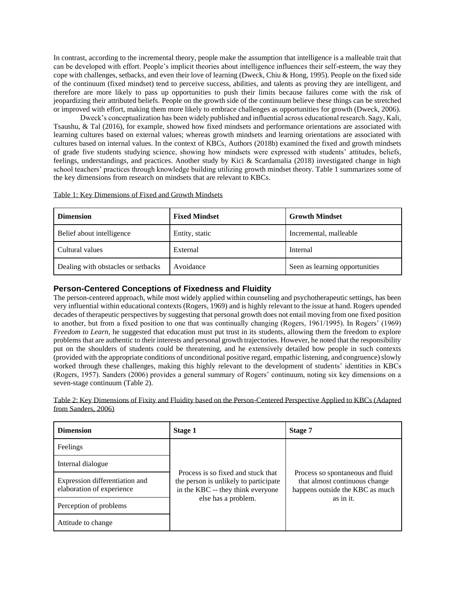In contrast, according to the incremental theory, people make the assumption that intelligence is a malleable trait that can be developed with effort. People's implicit theories about intelligence influences their self-esteem, the way they cope with challenges, setbacks, and even their love of learning (Dweck, Chiu & Hong, 1995). People on the fixed side of the continuum (fixed mindset) tend to perceive success, abilities, and talents as proving they are intelligent, and therefore are more likely to pass up opportunities to push their limits because failures come with the risk of jeopardizing their attributed beliefs. People on the growth side of the continuum believe these things can be stretched or improved with effort, making them more likely to embrace challenges as opportunities for growth (Dweck, 2006).

Dweck's conceptualization has been widely published and influential across educational research. Sagy, Kali, Tsaushu, & Tal (2016), for example, showed how fixed mindsets and performance orientations are associated with learning cultures based on external values; whereas growth mindsets and learning orientations are associated with cultures based on internal values. In the context of KBCs, Authors (2018b) examined the fixed and growth mindsets of grade five students studying science, showing how mindsets were expressed with students' attitudes, beliefs, feelings, understandings, and practices. Another study by Kici & Scardamalia (2018) investigated change in high school teachers' practices through knowledge building utilizing growth mindset theory. Table 1 summarizes some of the key dimensions from research on mindsets that are relevant to KBCs.

| <b>Dimension</b>          | <b>Fixed Mindset</b> | <b>Growth Mindset</b>  |
|---------------------------|----------------------|------------------------|
| Belief about intelligence | Entity, static       | Incremental, malleable |
| Cultural values           | External             | Internal               |

Dealing with obstacles or setbacks Avoidance Seen as learning opportunities

Table 1: Key Dimensions of Fixed and Growth Mindsets

# **Person-Centered Conceptions of Fixedness and Fluidity**

The person-centered approach, while most widely applied within counseling and psychotherapeutic settings, has been very influential within educational contexts (Rogers, 1969) and is highly relevant to the issue at hand. Rogers upended decades of therapeutic perspectives by suggesting that personal growth does not entail moving from one fixed position to another, but from a fixed position to one that was continually changing (Rogers, 1961/1995). In Rogers' (1969) *Freedom to Learn*, he suggested that education must put trust in its students, allowing them the freedom to explore problems that are authentic to their interests and personal growth trajectories. However, he noted that the responsibility put on the shoulders of students could be threatening, and he extensively detailed how people in such contexts (provided with the appropriate conditions of unconditional positive regard, empathic listening, and congruence) slowly worked through these challenges, making this highly relevant to the development of students' identities in KBCs (Rogers, 1957). Sanders (2006) provides a general summary of Rogers' continuum, noting six key dimensions on a seven-stage continuum (Table 2).

Table 2: Key Dimensions of Fixity and Fluidity based on the Person-Centered Perspective Applied to KBCs (Adapted from Sanders, 2006)

| <b>Dimension</b>                                            | Stage 1                                                                                                                                 | Stage 7                                                                                              |  |  |
|-------------------------------------------------------------|-----------------------------------------------------------------------------------------------------------------------------------------|------------------------------------------------------------------------------------------------------|--|--|
| Feelings                                                    |                                                                                                                                         |                                                                                                      |  |  |
| Internal dialogue                                           | Process is so fixed and stuck that<br>the person is unlikely to participate<br>in the KBC -- they think everyone<br>else has a problem. |                                                                                                      |  |  |
| Expression differentiation and<br>elaboration of experience |                                                                                                                                         | Process so spontaneous and fluid<br>that almost continuous change<br>happens outside the KBC as much |  |  |
| Perception of problems                                      |                                                                                                                                         | as in it.                                                                                            |  |  |
| Attitude to change                                          |                                                                                                                                         |                                                                                                      |  |  |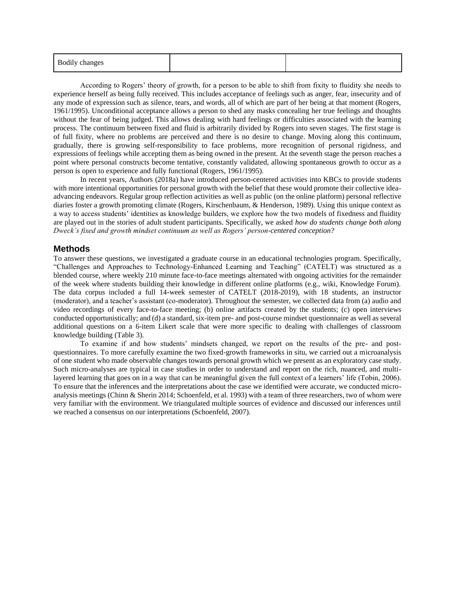| <b>Bodily changes</b> |  |  |
|-----------------------|--|--|
|-----------------------|--|--|

According to Rogers' theory of growth, for a person to be able to shift from fixity to fluidity she needs to experience herself as being fully received. This includes acceptance of feelings such as anger, fear, insecurity and of any mode of expression such as silence, tears, and words, all of which are part of her being at that moment (Rogers, 1961/1995). Unconditional acceptance allows a person to shed any masks concealing her true feelings and thoughts without the fear of being judged. This allows dealing with hard feelings or difficulties associated with the learning process. The continuum between fixed and fluid is arbitrarily divided by Rogers into seven stages. The first stage is of full fixity, where no problems are perceived and there is no desire to change. Moving along this continuum, gradually, there is growing self-responsibility to face problems, more recognition of personal rigidness, and expressions of feelings while accepting them as being owned in the present. At the seventh stage the person reaches a point where personal constructs become tentative, constantly validated, allowing spontaneous growth to occur as a person is open to experience and fully functional (Rogers, 1961/1995).

In recent years, Authors (2018a) have introduced person-centered activities into KBCs to provide students with more intentional opportunities for personal growth with the belief that these would promote their collective ideaadvancing endeavors. Regular group reflection activities as well as public (on the online platform) personal reflective diaries foster a growth promoting climate (Rogers, Kirschenbaum, & Henderson, 1989). Using this unique context as a way to access students' identities as knowledge builders, we explore how the two models of fixedness and fluidity are played out in the stories of adult student participants. Specifically, we asked *how do students change both along Dweck's fixed and growth mindset continuum as well as Rogers' person-centered conception?* 

# **Methods**

To answer these questions, we investigated a graduate course in an educational technologies program. Specifically, "Challenges and Approaches to Technology-Enhanced Learning and Teaching" (CATELT) was structured as a blended course, where weekly 210 minute face-to-face meetings alternated with ongoing activities for the remainder of the week where students building their knowledge in different online platforms (e.g., wiki, Knowledge Forum). The data corpus included a full 14-week semester of CATELT (2018-2019), with 18 students, an instructor (moderator), and a teacher's assistant (co-moderator). Throughout the semester, we collected data from (a) audio and video recordings of every face-to-face meeting; (b) online artifacts created by the students; (c) open interviews conducted opportunistically; and (d) a standard, six-item pre- and post-course mindset questionnaire as well as several additional questions on a 6-item Likert scale that were more specific to dealing with challenges of classroom knowledge building (Table 3).

To examine if and how students' mindsets changed, we report on the results of the pre- and postquestionnaires. To more carefully examine the two fixed-growth frameworks in situ, we carried out a microanalysis of one student who made observable changes towards personal growth which we present as an exploratory case study. Such micro-analyses are typical in case studies in order to understand and report on the rich, nuanced, and multilayered learning that goes on in a way that can be meaningful given the full context of a learners' life (Tobin, 2006). To ensure that the inferences and the interpretations about the case we identified were accurate, we conducted microanalysis meetings (Chinn & Sherin 2014; Schoenfeld, et al. 1993) with a team of three researchers, two of whom were very familiar with the environment. We triangulated multiple sources of evidence and discussed our inferences until we reached a consensus on our interpretations (Schoenfeld, 2007).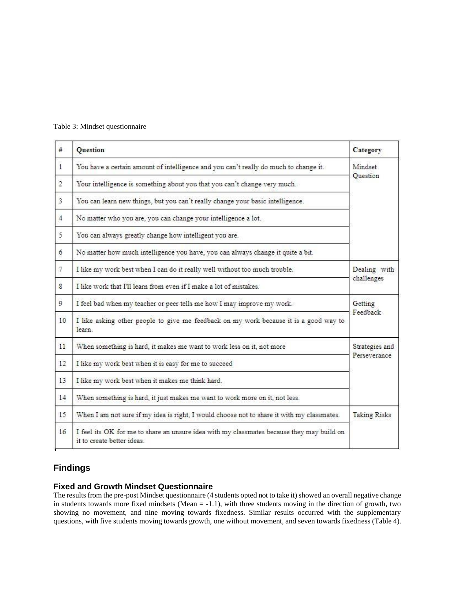| #              | <b>Question</b>                                                                                                         | Category |  |  |  |  |
|----------------|-------------------------------------------------------------------------------------------------------------------------|----------|--|--|--|--|
| $\mathbf{1}$   | You have a certain amount of intelligence and you can't really do much to change it.                                    |          |  |  |  |  |
| $\overline{2}$ | Your intelligence is something about you that you can't change very much.                                               |          |  |  |  |  |
| $\overline{3}$ | You can learn new things, but you can't really change your basic intelligence.                                          |          |  |  |  |  |
| $\overline{4}$ | No matter who you are, you can change your intelligence a lot.                                                          |          |  |  |  |  |
| 5              | You can always greatly change how intelligent you are.                                                                  |          |  |  |  |  |
| 6              | No matter how much intelligence you have, you can always change it quite a bit.                                         |          |  |  |  |  |
| $\mathcal{I}$  | I like my work best when I can do it really well without too much trouble.                                              |          |  |  |  |  |
| 8              | challenges<br>I like work that I'll learn from even if I make a lot of mistakes.                                        |          |  |  |  |  |
| $\mathcal{Q}$  | I feel bad when my teacher or peer tells me how I may improve my work.                                                  |          |  |  |  |  |
| 10             | I like asking other people to give me feedback on my work because it is a good way to<br>learn.                         | Feedback |  |  |  |  |
| 11             | When something is hard, it makes me want to work less on it, not more                                                   |          |  |  |  |  |
| 12             | Perseverance<br>I like my work best when it is easy for me to succeed                                                   |          |  |  |  |  |
| 13             | I like my work best when it makes me think hard.                                                                        |          |  |  |  |  |
| 14             | When something is hard, it just makes me want to work more on it, not less.                                             |          |  |  |  |  |
| 15             | <b>Taking Risks</b><br>When I am not sure if my idea is right, I would choose not to share it with my classmates.       |          |  |  |  |  |
| 16             | I feel its OK for me to share an unsure idea with my classmates because they may build on<br>it to create better ideas. |          |  |  |  |  |

## Table 3: Mindset questionnaire

# **Findings**

# **Fixed and Growth Mindset Questionnaire**

The results from the pre-post Mindset questionnaire (4 students opted not to take it) showed an overall negative change in students towards more fixed mindsets (Mean = -1.1), with three students moving in the direction of growth, two showing no movement, and nine moving towards fixedness. Similar results occurred with the supplementary questions, with five students moving towards growth, one without movement, and seven towards fixedness (Table 4).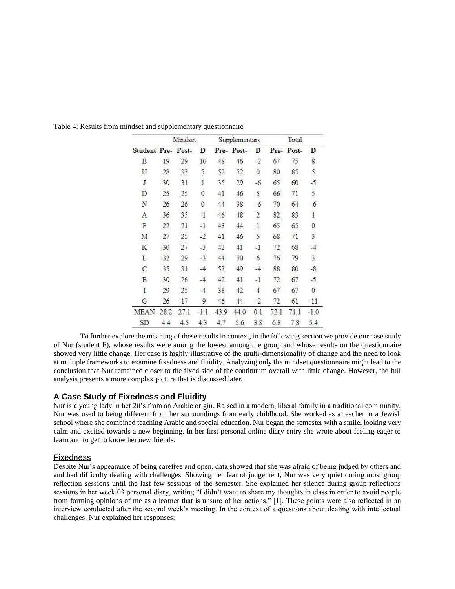|                           | Mindset |      | Supplementary  |      | Total     |                |      |       |                |
|---------------------------|---------|------|----------------|------|-----------|----------------|------|-------|----------------|
| <b>Student Pre- Post-</b> |         |      | D              |      | Pre-Post- | D              | Pre- | Post- | D              |
| B                         | 19      | 29   | 10             | 48   | 46        | $-2$           | 67   | 75    | 8              |
| Η                         | 28      | 33   | $\overline{5}$ | 52   | 52        | $\mathbf 0$    | 80   | 85    | 5              |
| J                         | 30      | 31   | $\mathbf{1}$   | 35   | 29        | $-6$           | 65   | 60    | $-5$           |
| D                         | 25      | 25   | $\theta$       | 41   | 46        | 5              | 66   | 71    | 5              |
| N                         | 26      | 26   | $\mathbf{0}$   | 44   | 38        | $-6$           | 70   | 64    | $-6$           |
| A                         | 36      | 35   | -1             | 46   | 48        | $\overline{2}$ | 82   | 83    | $\overline{1}$ |
| F                         | 22      | 21   | -1             | 43   | 44        | $1\,$          | 65   | 65    | 0              |
| M                         | 27      | 25   | $-2$           | 41   | 46        | 5              | 68   | 71    | 3              |
| $\mathbf K$               | 30      | 27   | $-3$           | 42   | 41        | $-1$           | 72   | 68    | $\frac{1}{2}$  |
| L                         | 32      | 29   | $-3$           | 44   | 50        | 6              | 76   | 79    | 3              |
| $\mathcal{C}$             | 35      | 31   | $-4$           | 53   | 49        | $-4$           | 88   | 80    | $-8$           |
| Ε                         | 30      | 26   | $-4$           | 42   | 41        | $-1$           | 72   | 67    | $-5$           |
| I                         | 29      | 25   | $-4$           | 38   | 42        | $\overline{4}$ | 67   | 67    | $\theta$       |
| G                         | 26      | 17   | $-9$           | 46   | 44        | $-2$           | 72   | 61    | $-11$          |
| <b>MEAN</b>               | 28.2    | 27.1 | $-1.1$         | 43.9 | 44.0      | 0.1            | 72.1 | 71.1  | $-1.0$         |
| SD                        | 4.4     | 4.5  | 4.3            | 4.7  | 5.6       | 3.8            | 6.8  | 7.8   | 5.4            |

Table 4: Results from mindset and supplementary questionnaire

To further explore the meaning of these results in context, in the following section we provide our case study of Nur (student F), whose results were among the lowest among the group and whose results on the questionnaire showed very little change. Her case is highly illustrative of the multi-dimensionality of change and the need to look at multiple frameworks to examine fixedness and fluidity. Analyzing only the mindset questionnaire might lead to the conclusion that Nur remained closer to the fixed side of the continuum overall with little change. However, the full analysis presents a more complex picture that is discussed later.

## **A Case Study of Fixedness and Fluidity**

Nur is a young lady in her 20's from an Arabic origin. Raised in a modern, liberal family in a traditional community, Nur was used to being different from her surroundings from early childhood. She worked as a teacher in a Jewish school where she combined teaching Arabic and special education. Nur began the semester with a smile, looking very calm and excited towards a new beginning. In her first personal online diary entry she wrote about feeling eager to learn and to get to know her new friends.

#### **Fixedness**

Despite Nur's appearance of being carefree and open, data showed that she was afraid of being judged by others and and had difficulty dealing with challenges. Showing her fear of judgement, Nur was very quiet during most group reflection sessions until the last few sessions of the semester. She explained her silence during group reflections sessions in her week 03 personal diary, writing "I didn't want to share my thoughts in class in order to avoid people from forming opinions of me as a learner that is unsure of her actions." [1]. These points were also reflected in an interview conducted after the second week's meeting. In the context of a questions about dealing with intellectual challenges, Nur explained her responses: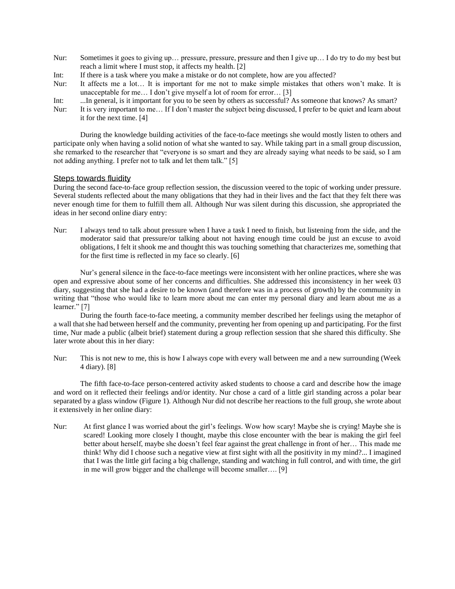- Nur: Sometimes it goes to giving up… pressure, pressure, pressure and then I give up… I do try to do my best but reach a limit where I must stop, it affects my health. [2]
- Int: If there is a task where you make a mistake or do not complete, how are you affected?
- Nur: It affects me a lot… It is important for me not to make simple mistakes that others won't make. It is unacceptable for me… I don't give myself a lot of room for error… [3]
- Int: ...In general, is it important for you to be seen by others as successful? As someone that knows? As smart?
- Nur: It is very important to me... If I don't master the subject being discussed, I prefer to be quiet and learn about it for the next time. [4]

During the knowledge building activities of the face-to-face meetings she would mostly listen to others and participate only when having a solid notion of what she wanted to say. While taking part in a small group discussion, she remarked to the researcher that "everyone is so smart and they are already saying what needs to be said, so I am not adding anything. I prefer not to talk and let them talk." [5]

#### Steps towards fluidity

During the second face-to-face group reflection session, the discussion veered to the topic of working under pressure. Several students reflected about the many obligations that they had in their lives and the fact that they felt there was never enough time for them to fulfill them all. Although Nur was silent during this discussion, she appropriated the ideas in her second online diary entry:

Nur: I always tend to talk about pressure when I have a task I need to finish, but listening from the side, and the moderator said that pressure/or talking about not having enough time could be just an excuse to avoid obligations, I felt it shook me and thought this was touching something that characterizes me, something that for the first time is reflected in my face so clearly. [6]

Nur's general silence in the face-to-face meetings were inconsistent with her online practices, where she was open and expressive about some of her concerns and difficulties. She addressed this inconsistency in her week 03 diary, suggesting that she had a desire to be known (and therefore was in a process of growth) by the community in writing that "those who would like to learn more about me can enter my personal diary and learn about me as a learner." [7]

During the fourth face-to-face meeting, a community member described her feelings using the metaphor of a wall that she had between herself and the community, preventing her from opening up and participating. For the first time, Nur made a public (albeit brief) statement during a group reflection session that she shared this difficulty. She later wrote about this in her diary:

Nur: This is not new to me, this is how I always cope with every wall between me and a new surrounding (Week 4 diary). [8]

The fifth face-to-face person-centered activity asked students to choose a card and describe how the image and word on it reflected their feelings and/or identity. Nur chose a card of a little girl standing across a polar bear separated by a glass window (Figure 1). Although Nur did not describe her reactions to the full group, she wrote about it extensively in her online diary:

Nur: At first glance I was worried about the girl's feelings. Wow how scary! Maybe she is crying! Maybe she is scared! Looking more closely I thought, maybe this close encounter with the bear is making the girl feel better about herself, maybe she doesn't feel fear against the great challenge in front of her… This made me think! Why did I choose such a negative view at first sight with all the positivity in my mind?... I imagined that I was the little girl facing a big challenge, standing and watching in full control, and with time, the girl in me will grow bigger and the challenge will become smaller…. [9]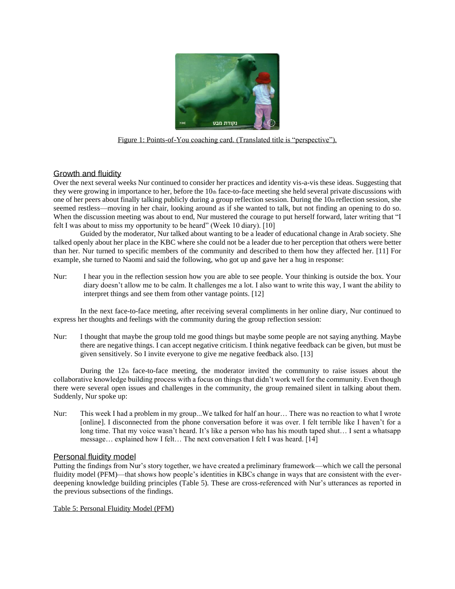

Figure 1: Points-of-You coaching card. (Translated title is "perspective").

# Growth and fluidity

Over the next several weeks Nur continued to consider her practices and identity vis-a-vis these ideas. Suggesting that they were growing in importance to her, before the  $10<sub>th</sub>$  face-to-face meeting she held several private discussions with one of her peers about finally talking publicly during a group reflection session. During the  $10<sub>th</sub>$  reflection session, she seemed restless—moving in her chair, looking around as if she wanted to talk, but not finding an opening to do so. When the discussion meeting was about to end, Nur mustered the courage to put herself forward, later writing that "I felt I was about to miss my opportunity to be heard" (Week 10 diary). [10]

Guided by the moderator, Nur talked about wanting to be a leader of educational change in Arab society. She talked openly about her place in the KBC where she could not be a leader due to her perception that others were better than her. Nur turned to specific members of the community and described to them how they affected her. [11] For example, she turned to Naomi and said the following, who got up and gave her a hug in response:

Nur: I hear you in the reflection session how you are able to see people. Your thinking is outside the box. Your diary doesn't allow me to be calm. It challenges me a lot. I also want to write this way, I want the ability to interpret things and see them from other vantage points. [12]

In the next face-to-face meeting, after receiving several compliments in her online diary, Nur continued to express her thoughts and feelings with the community during the group reflection session:

Nur: I thought that maybe the group told me good things but maybe some people are not saying anything. Maybe there are negative things. I can accept negative criticism. I think negative feedback can be given, but must be given sensitively. So I invite everyone to give me negative feedback also. [13]

During the 12th face-to-face meeting, the moderator invited the community to raise issues about the collaborative knowledge building process with a focus on things that didn't work well for the community. Even though there were several open issues and challenges in the community, the group remained silent in talking about them. Suddenly, Nur spoke up:

Nur: This week I had a problem in my group...We talked for half an hour… There was no reaction to what I wrote [online]. I disconnected from the phone conversation before it was over. I felt terrible like I haven't for a long time. That my voice wasn't heard. It's like a person who has his mouth taped shut... I sent a whatsapp message… explained how I felt… The next conversation I felt I was heard. [14]

### Personal fluidity model

Putting the findings from Nur's story together, we have created a preliminary framework—which we call the personal fluidity model (PFM)—that shows how people's identities in KBCs change in ways that are consistent with the everdeepening knowledge building principles (Table 5). These are cross-referenced with Nur's utterances as reported in the previous subsections of the findings.

#### Table 5: Personal Fluidity Model (PFM)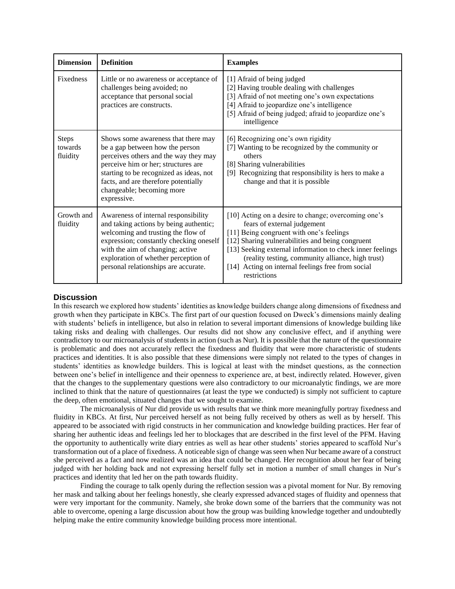| <b>Dimension</b>                    | <b>Definition</b>                                                                                                                                                                                                                                                                     | <b>Examples</b>                                                                                                                                                                                                                                                                                                                                                           |  |  |  |
|-------------------------------------|---------------------------------------------------------------------------------------------------------------------------------------------------------------------------------------------------------------------------------------------------------------------------------------|---------------------------------------------------------------------------------------------------------------------------------------------------------------------------------------------------------------------------------------------------------------------------------------------------------------------------------------------------------------------------|--|--|--|
| <b>Fixedness</b>                    | Little or no awareness or acceptance of<br>challenges being avoided; no<br>acceptance that personal social<br>practices are constructs.                                                                                                                                               | [1] Afraid of being judged<br>[2] Having trouble dealing with challenges<br>[3] Afraid of not meeting one's own expectations<br>[4] Afraid to jeopardize one's intelligence<br>[5] Afraid of being judged; afraid to jeopardize one's<br>intelligence                                                                                                                     |  |  |  |
| <b>Steps</b><br>towards<br>fluidity | Shows some awareness that there may<br>be a gap between how the person<br>perceives others and the way they may<br>perceive him or her; structures are<br>starting to be recognized as ideas, not<br>facts, and are therefore potentially<br>changeable; becoming more<br>expressive. | [6] Recognizing one's own rigidity<br>[7] Wanting to be recognized by the community or<br>others<br>[8] Sharing vulnerabilities<br>[9] Recognizing that responsibility is hers to make a<br>change and that it is possible                                                                                                                                                |  |  |  |
| Growth and<br>fluidity              | Awareness of internal responsibility<br>and taking actions by being authentic;<br>welcoming and trusting the flow of<br>expression; constantly checking oneself<br>with the aim of changing; active<br>exploration of whether perception of<br>personal relationships are accurate.   | [10] Acting on a desire to change; overcoming one's<br>fears of external judgement<br>[11] Being congruent with one's feelings<br>[12] Sharing vulnerabilities and being congruent<br>[13] Seeking external information to check inner feelings<br>(reality testing, community alliance, high trust)<br>[14] Acting on internal feelings free from social<br>restrictions |  |  |  |

## **Discussion**

In this research we explored how students' identities as knowledge builders change along dimensions of fixedness and growth when they participate in KBCs. The first part of our question focused on Dweck's dimensions mainly dealing with students' beliefs in intelligence, but also in relation to several important dimensions of knowledge building like taking risks and dealing with challenges. Our results did not show any conclusive effect, and if anything were contradictory to our microanalysis of students in action (such as Nur). It is possible that the nature of the questionnaire is problematic and does not accurately reflect the fixedness and fluidity that were more characteristic of students practices and identities. It is also possible that these dimensions were simply not related to the types of changes in students' identities as knowledge builders. This is logical at least with the mindset questions, as the connection between one's belief in intelligence and their openness to experience are, at best, indirectly related. However, given that the changes to the supplementary questions were also contradictory to our microanalytic findings, we are more inclined to think that the nature of questionnaires (at least the type we conducted) is simply not sufficient to capture the deep, often emotional, situated changes that we sought to examine.

The microanalysis of Nur did provide us with results that we think more meaningfully portray fixedness and fluidity in KBCs. At first, Nur perceived herself as not being fully received by others as well as by herself. This appeared to be associated with rigid constructs in her communication and knowledge building practices. Her fear of sharing her authentic ideas and feelings led her to blockages that are described in the first level of the PFM. Having the opportunity to authentically write diary entries as well as hear other students' stories appeared to scaffold Nur's transformation out of a place of fixedness. A noticeable sign of change was seen when Nur became aware of a construct she perceived as a fact and now realized was an idea that could be changed. Her recognition about her fear of being judged with her holding back and not expressing herself fully set in motion a number of small changes in Nur's practices and identity that led her on the path towards fluidity.

Finding the courage to talk openly during the reflection session was a pivotal moment for Nur. By removing her mask and talking about her feelings honestly, she clearly expressed advanced stages of fluidity and openness that were very important for the community. Namely, she broke down some of the barriers that the community was not able to overcome, opening a large discussion about how the group was building knowledge together and undoubtedly helping make the entire community knowledge building process more intentional.